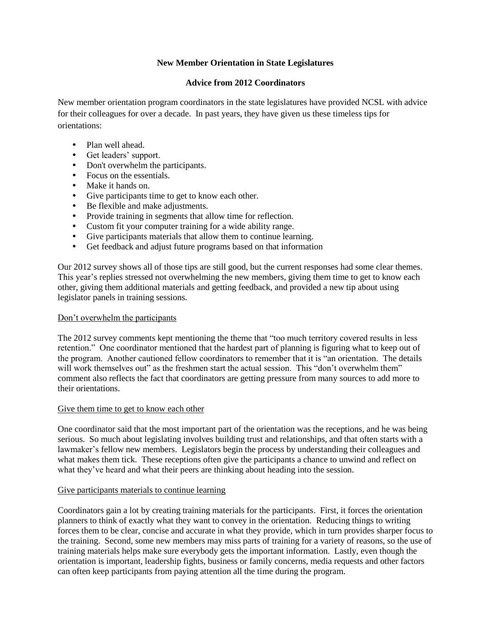# **New Member Orientation in State Legislatures**

# **Advice from 2012 Coordinators**

New member orientation program coordinators in the state legislatures have provided NCSL with advice for their colleagues for over a decade. In past years, they have given us these timeless tips for orientations:

- Plan well ahead.
- Get leaders' support.
- Don't overwhelm the participants.
- Focus on the essentials.
- Make it hands on.
- Give participants time to get to know each other.
- Be flexible and make adjustments.
- Provide training in segments that allow time for reflection.
- Custom fit your computer training for a wide ability range.
- Give participants materials that allow them to continue learning.
- Get feedback and adjust future programs based on that information

Our 2012 survey shows all of those tips are still good, but the current responses had some clear themes. This year's replies stressed not overwhelming the new members, giving them time to get to know each other, giving them additional materials and getting feedback, and provided a new tip about using legislator panels in training sessions.

### Don't overwhelm the participants

The 2012 survey comments kept mentioning the theme that "too much territory covered results in less retention." One coordinator mentioned that the hardest part of planning is figuring what to keep out of the program. Another cautioned fellow coordinators to remember that it is "an orientation. The details will work themselves out" as the freshmen start the actual session. This "don't overwhelm them" comment also reflects the fact that coordinators are getting pressure from many sources to add more to their orientations.

# Give them time to get to know each other

One coordinator said that the most important part of the orientation was the receptions, and he was being serious. So much about legislating involves building trust and relationships, and that often starts with a lawmaker's fellow new members. Legislators begin the process by understanding their colleagues and what makes them tick. These receptions often give the participants a chance to unwind and reflect on what they've heard and what their peers are thinking about heading into the session.

#### Give participants materials to continue learning

Coordinators gain a lot by creating training materials for the participants. First, it forces the orientation planners to think of exactly what they want to convey in the orientation. Reducing things to writing forces them to be clear, concise and accurate in what they provide, which in turn provides sharper focus to the training. Second, some new members may miss parts of training for a variety of reasons, so the use of training materials helps make sure everybody gets the important information. Lastly, even though the orientation is important, leadership fights, business or family concerns, media requests and other factors can often keep participants from paying attention all the time during the program.